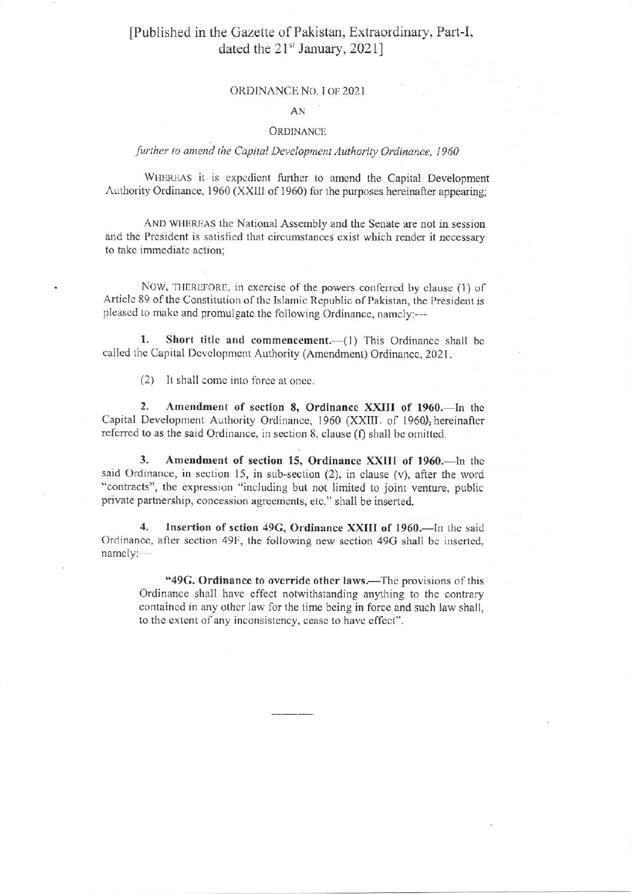# [Published in the Gazette of Pakistan, Extraordinary, Part-I, dated the 21<sup>st</sup> January, 2021]

#### ORDINANCE No. I of 2021

### AN

#### **ORDINANCE**

## further to amend the Capital Development Authority Ordinance, 1960

WHEREAS it is expedient further to amend the Capital Development Authority Ordinance, 1960 (XXIII of 1960) for the purposes hereinafter appearing:

AND WHEREAS the National Assembly and the Senate are not in session and the President is satisfied that circumstances exist which render it necessary to take immediate action:

NOW, THEREFORE, in exercise of the powers conferred by clause (1) of Article 89 of the Constitution of the Islamic Republic of Pakistan, the President is pleased to make and promulgate the following Ordinance, namely:---

Short title and commencement.-(1) This Ordinance shall be 1. called the Capital Development Authority (Amendment) Ordinance, 2021.

(2) It shall come into force at once.

Amendment of section 8, Ordinance XXIII of 1960.-In the  $2.$ Capital Development Authority Ordinance, 1960 (XXIII. of 1960), hereinafter referred to as the said Ordinance, in section 8, clause (f) shall be omitted.

Amendment of section 15, Ordinance XXIII of 1960.-In the  $3.$ said Ordinance, in section 15, in sub-section (2), in clause (v), after the word "contracts", the expression "including but not limited to joint venture, public private partnership, concession agreements, etc." shall be inserted.

Insertion of sction 49G, Ordinance XXIII of 1960.—In the said  $\overline{4}$ . Ordinance, after section 49F, the following new section 49G shall be inserted, namely:-

"49G. Ordinance to override other laws.—The provisions of this Ordinance shall have effect notwithstanding anything to the contrary contained in any other law for the time being in force and such law shall. to the extent of any inconsistency, cease to have effect".